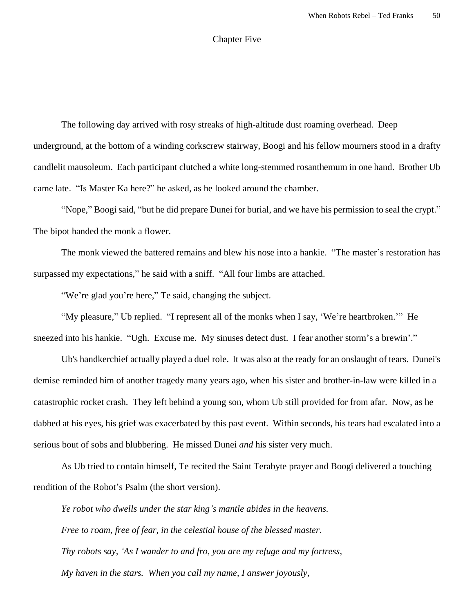## Chapter Five

The following day arrived with rosy streaks of high-altitude dust roaming overhead. Deep underground, at the bottom of a winding corkscrew stairway, Boogi and his fellow mourners stood in a drafty candlelit mausoleum. Each participant clutched a white long-stemmed rosanthemum in one hand. Brother Ub came late. "Is Master Ka here?" he asked, as he looked around the chamber.

"Nope," Boogi said, "but he did prepare Dunei for burial, and we have his permission to seal the crypt." The bipot handed the monk a flower.

The monk viewed the battered remains and blew his nose into a hankie. "The master's restoration has surpassed my expectations," he said with a sniff. "All four limbs are attached.

"We're glad you're here," Te said, changing the subject.

"My pleasure," Ub replied. "I represent all of the monks when I say, 'We're heartbroken.'" He sneezed into his hankie. "Ugh. Excuse me. My sinuses detect dust. I fear another storm's a brewin'."

Ub's handkerchief actually played a duel role. It was also at the ready for an onslaught of tears. Dunei's demise reminded him of another tragedy many years ago, when his sister and brother-in-law were killed in a catastrophic rocket crash. They left behind a young son, whom Ub still provided for from afar. Now, as he dabbed at his eyes, his grief was exacerbated by this past event. Within seconds, his tears had escalated into a serious bout of sobs and blubbering. He missed Dunei *and* his sister very much.

As Ub tried to contain himself, Te recited the Saint Terabyte prayer and Boogi delivered a touching rendition of the Robot's Psalm (the short version).

*Ye robot who dwells under the star king's mantle abides in the heavens. Free to roam, free of fear, in the celestial house of the blessed master. Thy robots say, 'As I wander to and fro, you are my refuge and my fortress, My haven in the stars. When you call my name, I answer joyously,*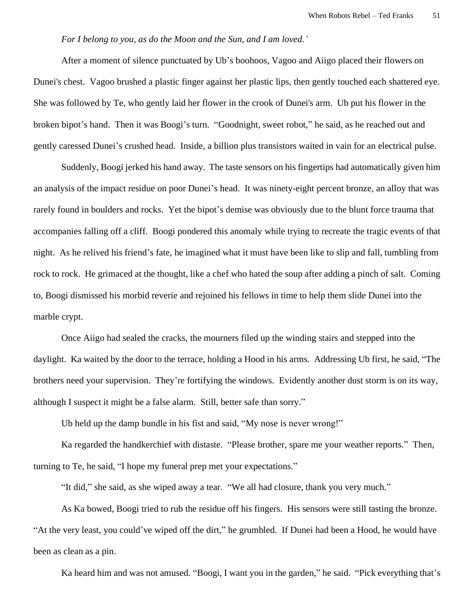## *For I belong to you, as do the Moon and the Sun, and I am loved.'*

 After a moment of silence punctuated by Ub's boohoos, Vagoo and Aiigo placed their flowers on Dunei's chest. Vagoo brushed a plastic finger against her plastic lips, then gently touched each shattered eye. She was followed by Te, who gently laid her flower in the crook of Dunei's arm. Ub put his flower in the broken bipot's hand. Then it was Boogi's turn. "Goodnight, sweet robot," he said, as he reached out and gently caressed Dunei's crushed head. Inside, a billion plus transistors waited in vain for an electrical pulse.

Suddenly, Boogi jerked his hand away. The taste sensors on his fingertips had automatically given him an analysis of the impact residue on poor Dunei's head. It was ninety-eight percent bronze, an alloy that was rarely found in boulders and rocks. Yet the bipot's demise was obviously due to the blunt force trauma that accompanies falling off a cliff. Boogi pondered this anomaly while trying to recreate the tragic events of that night. As he relived his friend's fate, he imagined what it must have been like to slip and fall, tumbling from rock to rock. He grimaced at the thought, like a chef who hated the soup after adding a pinch of salt. Coming to, Boogi dismissed his morbid reverie and rejoined his fellows in time to help them slide Dunei into the marble crypt.

Once Aiigo had sealed the cracks, the mourners filed up the winding stairs and stepped into the daylight. Ka waited by the door to the terrace, holding a Hood in his arms. Addressing Ub first, he said, "The brothers need your supervision. They're fortifying the windows. Evidently another dust storm is on its way, although I suspect it might be a false alarm. Still, better safe than sorry."

Ub held up the damp bundle in his fist and said, "My nose is never wrong!"

Ka regarded the handkerchief with distaste. "Please brother, spare me your weather reports." Then, turning to Te, he said, "I hope my funeral prep met your expectations."

"It did," she said, as she wiped away a tear. "We all had closure, thank you very much."

As Ka bowed, Boogi tried to rub the residue off his fingers. His sensors were still tasting the bronze. "At the very least, you could've wiped off the dirt," he grumbled. If Dunei had been a Hood, he would have been as clean as a pin.

Ka heard him and was not amused. "Boogi, I want you in the garden," he said. "Pick everything that's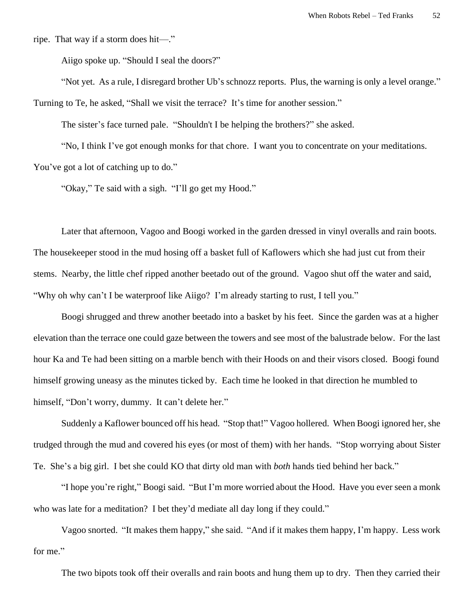ripe. That way if a storm does hit—."

Aiigo spoke up. "Should I seal the doors?"

"Not yet. As a rule, I disregard brother Ub's schnozz reports. Plus, the warning is only a level orange." Turning to Te, he asked, "Shall we visit the terrace? It's time for another session."

The sister's face turned pale. "Shouldn't I be helping the brothers?" she asked.

"No, I think I've got enough monks for that chore. I want you to concentrate on your meditations. You've got a lot of catching up to do."

"Okay," Te said with a sigh. "I'll go get my Hood."

Later that afternoon, Vagoo and Boogi worked in the garden dressed in vinyl overalls and rain boots. The housekeeper stood in the mud hosing off a basket full of Kaflowers which she had just cut from their stems. Nearby, the little chef ripped another beetado out of the ground. Vagoo shut off the water and said, "Why oh why can't I be waterproof like Aiigo? I'm already starting to rust, I tell you."

Boogi shrugged and threw another beetado into a basket by his feet. Since the garden was at a higher elevation than the terrace one could gaze between the towers and see most of the balustrade below. For the last hour Ka and Te had been sitting on a marble bench with their Hoods on and their visors closed. Boogi found himself growing uneasy as the minutes ticked by. Each time he looked in that direction he mumbled to himself, "Don't worry, dummy. It can't delete her."

Suddenly a Kaflower bounced off his head. "Stop that!" Vagoo hollered. When Boogi ignored her, she trudged through the mud and covered his eyes (or most of them) with her hands. "Stop worrying about Sister Te. She's a big girl. I bet she could KO that dirty old man with *both* hands tied behind her back."

"I hope you're right," Boogi said. "But I'm more worried about the Hood. Have you ever seen a monk who was late for a meditation? I bet they'd mediate all day long if they could."

Vagoo snorted. "It makes them happy," she said. "And if it makes them happy, I'm happy. Less work for me."

The two bipots took off their overalls and rain boots and hung them up to dry. Then they carried their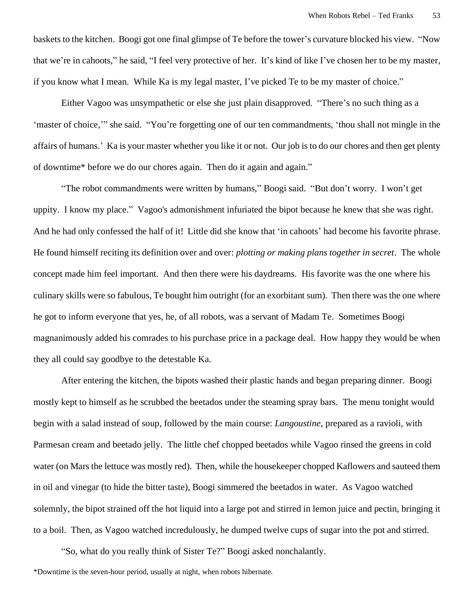baskets to the kitchen. Boogi got one final glimpse of Te before the tower's curvature blocked his view. "Now that we're in cahoots," he said, "I feel very protective of her. It's kind of like I've chosen her to be my master, if you know what I mean. While Ka is my legal master, I've picked Te to be my master of choice."

Either Vagoo was unsympathetic or else she just plain disapproved. "There's no such thing as a 'master of choice,'" she said. "You're forgetting one of our ten commandments, 'thou shall not mingle in the affairs of humans.' Ka is your master whether you like it or not. Our job is to do our chores and then get plenty of downtime\* before we do our chores again. Then do it again and again."

"The robot commandments were written by humans," Boogi said. "But don't worry. I won't get uppity. I know my place." Vagoo's admonishment infuriated the bipot because he knew that she was right. And he had only confessed the half of it! Little did she know that 'in cahoots' had become his favorite phrase. He found himself reciting its definition over and over: *plotting or making plans together in secret*. The whole concept made him feel important. And then there were his daydreams. His favorite was the one where his culinary skills were so fabulous, Te bought him outright (for an exorbitant sum). Then there was the one where he got to inform everyone that yes, he, of all robots, was a servant of Madam Te. Sometimes Boogi magnanimously added his comrades to his purchase price in a package deal. How happy they would be when they all could say goodbye to the detestable Ka.

After entering the kitchen, the bipots washed their plastic hands and began preparing dinner. Boogi mostly kept to himself as he scrubbed the beetados under the steaming spray bars. The menu tonight would begin with a salad instead of soup, followed by the main course: *Langoustine*, prepared as a ravioli, with Parmesan cream and beetado jelly. The little chef chopped beetados while Vagoo rinsed the greens in cold water (on Mars the lettuce was mostly red). Then, while the housekeeper chopped Kaflowers and sauteed them in oil and vinegar (to hide the bitter taste), Boogi simmered the beetados in water. As Vagoo watched solemnly, the bipot strained off the hot liquid into a large pot and stirred in lemon juice and pectin, bringing it to a boil. Then, as Vagoo watched incredulously, he dumped twelve cups of sugar into the pot and stirred.

"So, what do you really think of Sister Te?" Boogi asked nonchalantly.

\*Downtime is the seven-hour period, usually at night, when robots hibernate.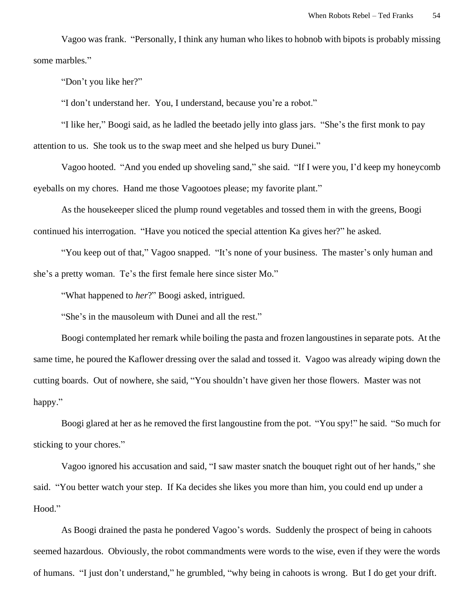Vagoo was frank. "Personally, I think any human who likes to hobnob with bipots is probably missing some marbles."

"Don't you like her?"

"I don't understand her. You, I understand, because you're a robot."

"I like her," Boogi said, as he ladled the beetado jelly into glass jars. "She's the first monk to pay attention to us. She took us to the swap meet and she helped us bury Dunei."

Vagoo hooted. "And you ended up shoveling sand," she said. "If I were you, I'd keep my honeycomb eyeballs on my chores. Hand me those Vagootoes please; my favorite plant."

As the housekeeper sliced the plump round vegetables and tossed them in with the greens, Boogi continued his interrogation. "Have you noticed the special attention Ka gives her?" he asked.

"You keep out of that," Vagoo snapped. "It's none of your business. The master's only human and she's a pretty woman. Te's the first female here since sister Mo."

"What happened to *her*?" Boogi asked, intrigued.

"She's in the mausoleum with Dunei and all the rest."

Boogi contemplated her remark while boiling the pasta and frozen langoustines in separate pots. At the same time, he poured the Kaflower dressing over the salad and tossed it. Vagoo was already wiping down the cutting boards. Out of nowhere, she said, "You shouldn't have given her those flowers. Master was not happy."

Boogi glared at her as he removed the first langoustine from the pot. "You spy!" he said. "So much for sticking to your chores."

Vagoo ignored his accusation and said, "I saw master snatch the bouquet right out of her hands," she said. "You better watch your step. If Ka decides she likes you more than him, you could end up under a Hood."

As Boogi drained the pasta he pondered Vagoo's words. Suddenly the prospect of being in cahoots seemed hazardous. Obviously, the robot commandments were words to the wise, even if they were the words of humans. "I just don't understand," he grumbled, "why being in cahoots is wrong. But I do get your drift.